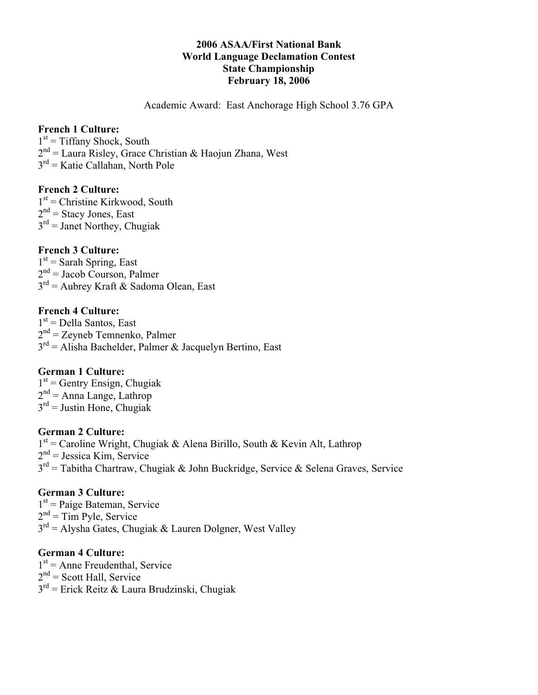# **2006 ASAA/First National Bank World Language Declamation Contest State Championship February 18, 2006**

Academic Award: East Anchorage High School 3.76 GPA

## **French 1 Culture:**

 $1<sup>st</sup>$  = Tiffany Shock, South  $2<sup>nd</sup> =$  Laura Risley, Grace Christian & Haojun Zhana, West  $3<sup>rd</sup>$  = Katie Callahan, North Pole

# **French 2 Culture:**

 $1<sup>st</sup>$  = Christine Kirkwood, South  $2<sup>nd</sup>$  = Stacy Jones, East  $3<sup>rd</sup>$  = Janet Northey, Chugiak

# **French 3 Culture:**

 $1<sup>st</sup>$  = Sarah Spring, East  $2<sup>nd</sup> = Jacob Courson, Palmer$  $3<sup>rd</sup>$  = Aubrey Kraft & Sadoma Olean, East

# **French 4 Culture:**

 $1<sup>st</sup>$  = Della Santos, East  $2<sup>nd</sup> = Zeyneb$  Temnenko, Palmer  $3<sup>rd</sup>$  = Alisha Bachelder, Palmer & Jacquelyn Bertino, East

# **German 1 Culture:**

 $1<sup>st</sup>$  = Gentry Ensign, Chugiak  $2<sup>nd</sup> = Anna Lange, Lathrop$  $3<sup>rd</sup> =$  Justin Hone, Chugiak

## **German 2 Culture:**

 $1<sup>st</sup>$  = Caroline Wright, Chugiak & Alena Birillo, South & Kevin Alt, Lathrop  $2<sup>nd</sup> = Jessica Kim, Service$ 3rd = Tabitha Chartraw, Chugiak & John Buckridge, Service & Selena Graves, Service

# **German 3 Culture:**

 $1<sup>st</sup>$  = Paige Bateman, Service  $2<sup>nd</sup>$  = Tim Pyle, Service  $3<sup>rd</sup>$  = Alysha Gates, Chugiak & Lauren Dolgner, West Valley

## **German 4 Culture:**

 $1<sup>st</sup>$  = Anne Freudenthal, Service  $2<sup>nd</sup>$  = Scott Hall, Service  $3<sup>rd</sup>$  = Erick Reitz & Laura Brudzinski, Chugiak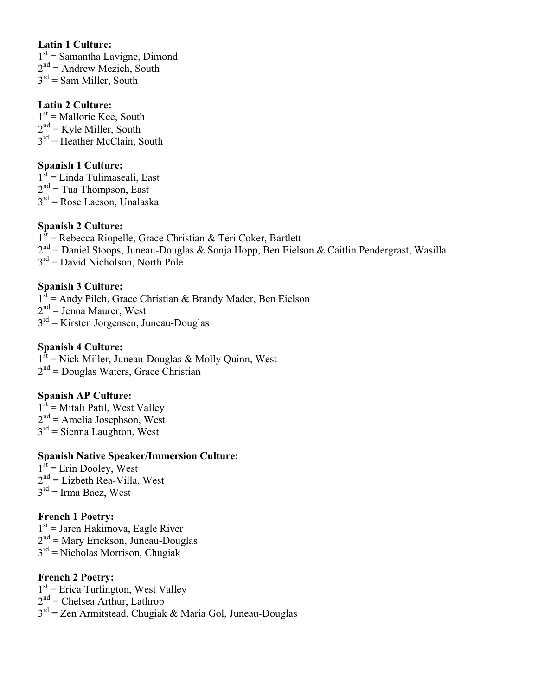# **Latin 1 Culture:**

 $1<sup>st</sup>$  = Samantha Lavigne, Dimond  $2<sup>nd</sup>$  = Andrew Mezich, South  $3<sup>rd</sup>$  = Sam Miller, South

#### **Latin 2 Culture:**

 $1<sup>st</sup>$  = Mallorie Kee, South  $2<sup>nd</sup>$  = Kyle Miller, South  $3<sup>rd</sup>$  = Heather McClain, South

## **Spanish 1 Culture:**

 $1<sup>st</sup> =$  Linda Tulimaseali, East  $2<sup>nd</sup>$  = Tua Thompson, East  $3<sup>rd</sup>$  = Rose Lacson, Unalaska

## **Spanish 2 Culture:**

 $1^{\overline{st}}$  = Rebecca Riopelle, Grace Christian & Teri Coker, Bartlett  $2<sup>nd</sup>$  = Daniel Stoops, Juneau-Douglas & Sonja Hopp, Ben Eielson & Caitlin Pendergrast, Wasilla  $3<sup>rd</sup>$  = David Nicholson, North Pole

# **Spanish 3 Culture:**

 $1<sup>st</sup>$  = Andy Pilch, Grace Christian & Brandy Mader, Ben Eielson  $2<sup>nd</sup> =$  Jenna Maurer, West  $3<sup>rd</sup>$  = Kirsten Jorgensen, Juneau-Douglas

## **Spanish 4 Culture:**

 $1^{st}$  = Nick Miller, Juneau-Douglas & Molly Quinn, West  $2<sup>nd</sup> = Douglas Waters, Grace Christian$ 

# **Spanish AP Culture:**

 $1^{\tilde{st}}$  = Mitali Patil, West Valley  $2<sup>nd</sup>$  = Amelia Josephson, West  $3<sup>rd</sup>$  = Sienna Laughton, West

# **Spanish Native Speaker/Immersion Culture:**

 $1^{\overline{st}}$  = Erin Dooley, West  $2<sup>nd</sup> =$  Lizbeth Rea-Villa, West  $3<sup>rd</sup>$  = Irma Baez, West

# **French 1 Poetry:**

 $1<sup>st</sup> =$  Jaren Hakimova, Eagle River  $2<sup>nd</sup>$  = Mary Erickson, Juneau-Douglas  $3<sup>rd</sup>$  = Nicholas Morrison, Chugiak

## **French 2 Poetry:**

 $1<sup>st</sup>$  = Erica Turlington, West Valley  $2<sup>nd</sup>$  = Chelsea Arthur, Lathrop  $3<sup>rd</sup> =$  Zen Armitstead, Chugiak & Maria Gol, Juneau-Douglas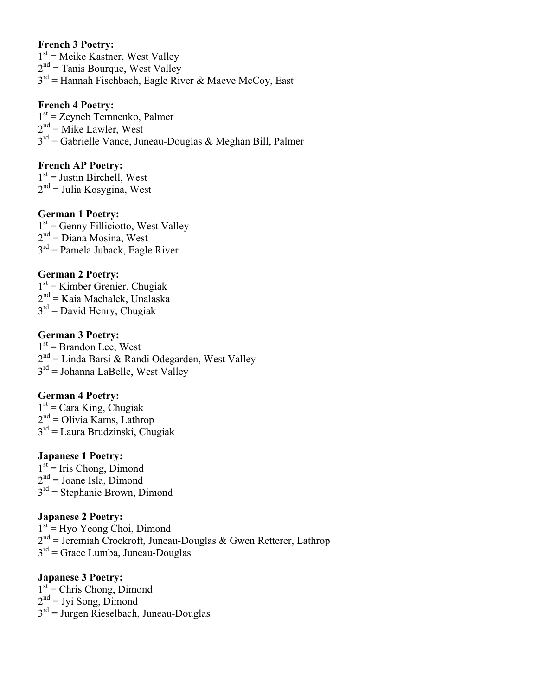## **French 3 Poetry:**

 $1<sup>st</sup>$  = Meike Kastner, West Valley  $2<sup>nd</sup>$  = Tanis Bourque, West Valley  $3<sup>rd</sup>$  = Hannah Fischbach, Eagle River & Maeve McCoy, East

#### **French 4 Poetry:**

 $1<sup>st</sup>$  = Zeyneb Temnenko, Palmer  $2<sup>nd</sup> = Mike Lawler, West$  $3<sup>rd</sup>$  = Gabrielle Vance, Juneau-Douglas & Meghan Bill, Palmer

## **French AP Poetry:**

 $1<sup>st</sup>$  = Justin Birchell, West  $2<sup>nd</sup> =$  Julia Kosygina, West

#### **German 1 Poetry:**

 $1<sup>st</sup>$  = Genny Filliciotto, West Valley  $2<sup>nd</sup> = Diana Mosina, West$  $3<sup>rd</sup>$  = Pamela Juback, Eagle River

## **German 2 Poetry:**

 $1<sup>st</sup>$  = Kimber Grenier, Chugiak  $2<sup>nd</sup> =$  Kaia Machalek, Unalaska  $3<sup>rd</sup>$  = David Henry, Chugiak

# **German 3 Poetry:**

 $1<sup>st</sup>$  = Brandon Lee, West  $2<sup>nd</sup> =$  Linda Barsi & Randi Odegarden, West Valley  $3<sup>rd</sup> = *Johnson* LaBelle, West Valley$ 

## **German 4 Poetry:**

 $1<sup>st</sup>$  = Cara King, Chugiak  $2<sup>nd</sup> = Olivia Karns, Lathrop$  $3<sup>rd</sup>$  = Laura Brudzinski, Chugiak

## **Japanese 1 Poetry:**

 $1<sup>st</sup>$  = Iris Chong, Dimond  $2<sup>nd</sup> = Joane Isla, Dimond$  $3<sup>rd</sup>$  = Stephanie Brown, Dimond

# **Japanese 2 Poetry:**

 $1<sup>st</sup>$  = Hyo Yeong Choi, Dimond  $2<sup>nd</sup>$  = Jeremiah Crockroft, Juneau-Douglas & Gwen Retterer, Lathrop  $3<sup>rd</sup>$  = Grace Lumba, Juneau-Douglas

## **Japanese 3 Poetry:**

 $1<sup>st</sup>$  = Chris Chong, Dimond  $2<sup>nd</sup> = Jyi Song, Dimond$  $3<sup>rd</sup> = Jurgen Rieselbach, Juneau-Douglas$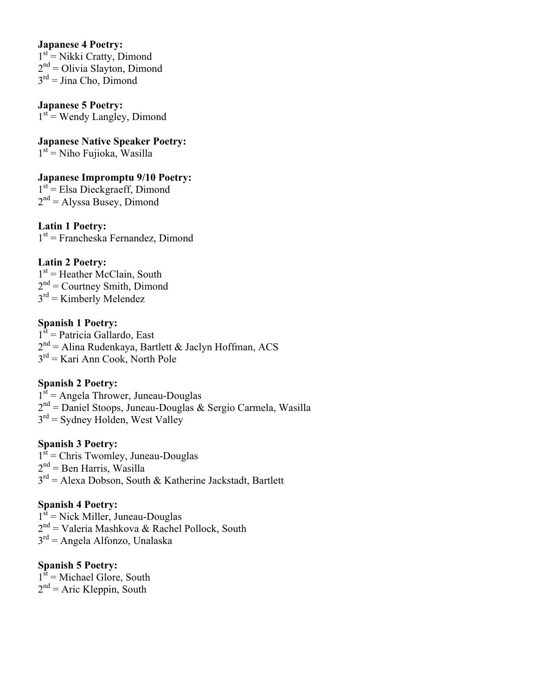#### **Japanese 4 Poetry:**

 $1<sup>st</sup>$  = Nikki Cratty, Dimond  $2<sup>nd</sup> = Olivia Slayton, Dimond$  $3<sup>rd</sup> =$  Jina Cho, Dimond

**Japanese 5 Poetry:**  $1<sup>st</sup>$  = Wendy Langley, Dimond

**Japanese Native Speaker Poetry:**  $1<sup>st</sup>$  = Niho Fujioka, Wasilla

**Japanese Impromptu 9/10 Poetry:**  $1<sup>st</sup>$  = Elsa Dieckgraeff, Dimond  $2<sup>nd</sup> = Alyssa Busey, Dimond$ 

**Latin 1 Poetry:**  $1<sup>st</sup>$  = Francheska Fernandez, Dimond

# **Latin 2 Poetry:**

 $1<sup>st</sup>$  = Heather McClain, South  $2<sup>nd</sup>$  = Courtney Smith, Dimond  $3<sup>rd</sup>$  = Kimberly Melendez

## **Spanish 1 Poetry:**

 $1^{\overline{st}}$  = Patricia Gallardo, East  $2<sup>nd</sup> = A$ lina Rudenkaya, Bartlett & Jaclyn Hoffman, ACS  $3<sup>rd</sup>$  = Kari Ann Cook, North Pole

# **Spanish 2 Poetry:**

 $1^{st}$  = Angela Thrower, Juneau-Douglas 2nd = Daniel Stoops, Juneau-Douglas & Sergio Carmela, Wasilla  $3<sup>rd</sup>$  = Sydney Holden, West Valley

# **Spanish 3 Poetry:**

 $1<sup>st</sup>$  = Chris Twomley, Juneau-Douglas  $2<sup>nd</sup>$  = Ben Harris, Wasilla  $3<sup>rd</sup> =$  Alexa Dobson, South & Katherine Jackstadt, Bartlett

# **Spanish 4 Poetry:**

 $1<sup>st</sup>$  = Nick Miller, Juneau-Douglas  $2<sup>nd</sup> = Valeria Mashkova & Rachel Pollock, South$  $3<sup>rd</sup>$  = Angela Alfonzo, Unalaska

## **Spanish 5 Poetry:**

 $1^{\overline{st}}$  = Michael Glore, South  $2<sup>nd</sup> =$  Aric Kleppin, South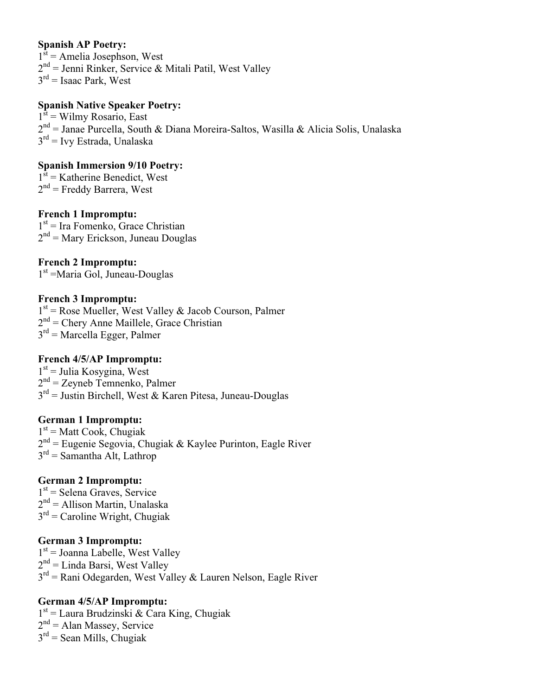#### **Spanish AP Poetry:**

 $1<sup>st</sup>$  = Amelia Josephson, West  $2<sup>nd</sup>$  = Jenni Rinker, Service & Mitali Patil, West Valley  $3<sup>rd</sup>$  = Isaac Park, West

#### **Spanish Native Speaker Poetry:**

 $1<sup>st</sup>$  = Wilmy Rosario, East  $2<sup>nd</sup> =$  Janae Purcella, South & Diana Moreira-Saltos, Wasilla & Alicia Solis, Unalaska  $3^{rd}$  = Ivy Estrada, Unalaska

# **Spanish Immersion 9/10 Poetry:**

 $1<sup>st</sup>$  = Katherine Benedict, West  $2<sup>nd</sup>$  = Freddy Barrera, West

## **French 1 Impromptu:**

 $1<sup>st</sup>$  = Ira Fomenko, Grace Christian  $2<sup>nd</sup>$  = Mary Erickson, Juneau Douglas

# **French 2 Impromptu:**

 $1<sup>st</sup>$  =Maria Gol, Juneau-Douglas

#### **French 3 Impromptu:**

 $1<sup>st</sup>$  = Rose Mueller, West Valley & Jacob Courson, Palmer  $2<sup>nd</sup>$  = Chery Anne Maillele, Grace Christian  $3<sup>rd</sup>$  = Marcella Egger, Palmer

## **French 4/5/AP Impromptu:**

 $1<sup>st</sup> =$  Julia Kosygina, West  $2<sup>nd</sup> = Zeyneb$  Temnenko, Palmer  $3<sup>rd</sup>$  = Justin Birchell, West & Karen Pitesa, Juneau-Douglas

## **German 1 Impromptu:**

 $1<sup>st</sup>$  = Matt Cook, Chugiak  $2<sup>nd</sup>$  = Eugenie Segovia, Chugiak & Kaylee Purinton, Eagle River  $3<sup>rd</sup>$  = Samantha Alt, Lathrop

# **German 2 Impromptu:**

 $1<sup>st</sup>$  = Selena Graves, Service  $2<sup>nd</sup> =$  Allison Martin, Unalaska  $3<sup>rd</sup>$  = Caroline Wright, Chugiak

#### **German 3 Impromptu:**

 $1<sup>st</sup> =$  Joanna Labelle, West Valley  $2<sup>nd</sup> =$  Linda Barsi, West Valley  $3<sup>rd</sup>$  = Rani Odegarden, West Valley & Lauren Nelson, Eagle River

## **German 4/5/AP Impromptu:**

 $1<sup>st</sup> =$  Laura Brudzinski & Cara King, Chugiak  $2<sup>nd</sup> = Alan Massey, Service$  $3<sup>rd</sup>$  = Sean Mills, Chugiak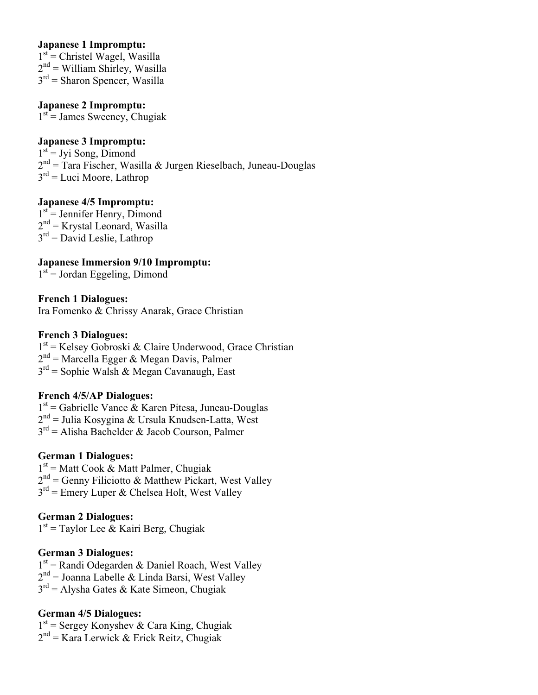#### **Japanese 1 Impromptu:**

 $1<sup>st</sup>$  = Christel Wagel, Wasilla  $2<sup>nd</sup>$  = William Shirley, Wasilla  $3<sup>rd</sup>$  = Sharon Spencer, Wasilla

#### **Japanese 2 Impromptu:**

 $1<sup>st</sup> = James Sweeney, Chugiak$ 

## **Japanese 3 Impromptu:**

 $1<sup>st</sup> = Jyi Song, Dimond$  $2<sup>nd</sup> =$  Tara Fischer, Wasilla & Jurgen Rieselbach, Juneau-Douglas  $3<sup>rd</sup>$  = Luci Moore, Lathrop

# **Japanese 4/5 Impromptu:**

 $1<sup>st</sup>$  = Jennifer Henry, Dimond  $2<sup>nd</sup>$  = Krystal Leonard, Wasilla  $3<sup>rd</sup>$  = David Leslie, Lathrop

## **Japanese Immersion 9/10 Impromptu:**

 $1<sup>st</sup>$  = Jordan Eggeling, Dimond

**French 1 Dialogues:** Ira Fomenko & Chrissy Anarak, Grace Christian

## **French 3 Dialogues:**

 $1<sup>st</sup>$  = Kelsey Gobroski & Claire Underwood, Grace Christian  $2<sup>nd</sup>$  = Marcella Egger & Megan Davis, Palmer  $3<sup>rd</sup>$  = Sophie Walsh & Megan Cavanaugh, East

## **French 4/5/AP Dialogues:**

 $1<sup>st</sup>$  = Gabrielle Vance & Karen Pitesa, Juneau-Douglas  $2<sup>nd</sup> =$  Julia Kosygina & Ursula Knudsen-Latta, West  $3<sup>rd</sup>$  = Alisha Bachelder & Jacob Courson, Palmer

## **German 1 Dialogues:**

 $1<sup>st</sup>$  = Matt Cook  $\alpha$  Matt Palmer, Chugiak  $2<sup>nd</sup>$  = Genny Filiciotto & Matthew Pickart, West Valley  $3<sup>rd</sup>$  = Emery Luper & Chelsea Holt, West Valley

# **German 2 Dialogues:**

 $1<sup>st</sup>$  = Taylor Lee & Kairi Berg, Chugiak

# **German 3 Dialogues:**

 $1<sup>st</sup>$  = Randi Odegarden & Daniel Roach, West Valley  $2<sup>nd</sup> =$  Joanna Labelle & Linda Barsi, West Valley  $3<sup>rd</sup> =$  Alysha Gates & Kate Simeon, Chugiak

# **German 4/5 Dialogues:**

 $1<sup>st</sup>$  = Sergey Konyshev & Cara King, Chugiak  $2<sup>nd</sup>$  = Kara Lerwick & Erick Reitz, Chugiak